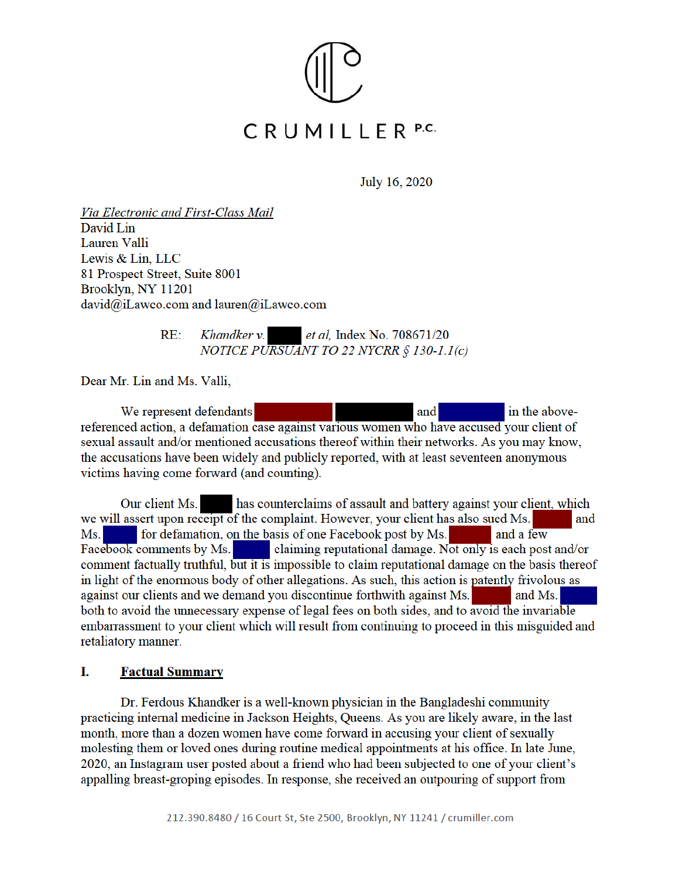

July 16, 2020

Via Electronic and First-Class Mail David Lin Lauren Valli Lewis & Lin. LLC 81 Prospect Street, Suite 8001 Brooklyn, NY 11201 david@iLawco.com and lauren@iLawco.com

> $RE:$ Khandker v. *et al, Index No. 708671/20* NOTICE PURSUANT TO 22 NYCRR § 130-1.1(c)

Dear Mr. Lin and Ms. Valli.

We represent defendants and in the abovereferenced action, a defamation case against various women who have accused your client of sexual assault and/or mentioned accusations thereof within their networks. As you may know, the accusations have been widely and publicly reported, with at least seventeen anonymous victims having come forward (and counting).

has counterclaims of assault and battery against your client, which Our client Ms. we will assert upon receipt of the complaint. However, your client has also sued Ms. and Ms. for defamation, on the basis of one Facebook post by Ms. and a few Facebook comments by Ms. claiming reputational damage. Not only is each post and/or comment factually truthful, but it is impossible to claim reputational damage on the basis thereof in light of the enormous body of other allegations. As such, this action is patently frivolous as against our clients and we demand you discontinue forthwith against Ms. and Ms. both to avoid the unnecessary expense of legal fees on both sides, and to avoid the invariable embarrassment to your client which will result from continuing to proceed in this misguided and retaliatory manner.

### L **Factual Summary**

Dr. Ferdous Khandker is a well-known physician in the Bangladeshi community practicing internal medicine in Jackson Heights, Queens. As you are likely aware, in the last month, more than a dozen women have come forward in accusing your client of sexually molesting them or loved ones during routine medical appointments at his office. In late June, 2020, an Instagram user posted about a friend who had been subjected to one of your client's appalling breast-groping episodes. In response, she received an outpouring of support from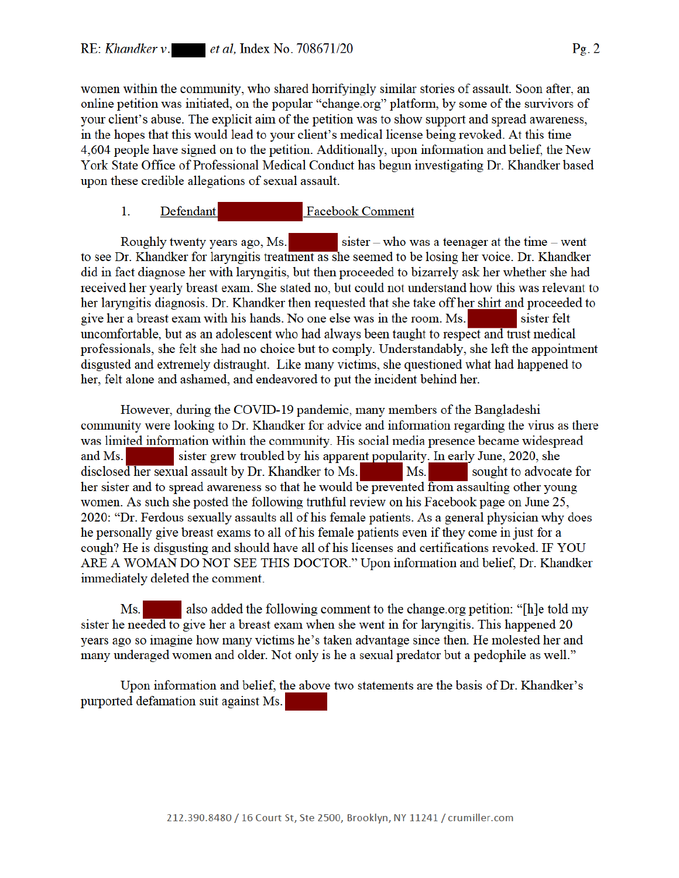women within the community, who shared horrifyingly similar stories of assault. Soon after, an online petition was initiated, on the popular "change.org" platform, by some of the survivors of your client's abuse. The explicit aim of the petition was to show support and spread awareness, in the hopes that this would lead to your client's medical license being revoked. At this time 4,604 people have signed on to the petition. Additionally, upon information and belief, the New York State Office of Professional Medical Conduct has begun investigating Dr. Khandker based upon these credible allegations of sexual assault.

#### **Facebook Comment**  $1_{-}$ Defendant

Roughly twenty years ago, Ms. sister – who was a teenager at the time – went to see Dr. Khandker for laryngitis treatment as she seemed to be losing her voice. Dr. Khandker did in fact diagnose her with laryngitis, but then proceeded to bizarrely ask her whether she had received her yearly breast exam. She stated no, but could not understand how this was relevant to her laryngitis diagnosis. Dr. Khandker then requested that she take off her shirt and proceeded to give her a breast exam with his hands. No one else was in the room. Ms. sister felt uncomfortable, but as an adolescent who had always been taught to respect and trust medical professionals, she felt she had no choice but to comply. Understandably, she left the appointment disgusted and extremely distraught. Like many victims, she questioned what had happened to her, felt alone and ashamed, and endeavored to put the incident behind her.

However, during the COVID-19 pandemic, many members of the Bangladeshi community were looking to Dr. Khandker for advice and information regarding the virus as there was limited information within the community. His social media presence became widespread sister grew troubled by his apparent popularity. In early June, 2020, she and Ms. disclosed her sexual assault by Dr. Khandker to Ms. Ms. sought to advocate for her sister and to spread awareness so that he would be prevented from assaulting other young women. As such she posted the following truthful review on his Facebook page on June 25, 2020: "Dr. Ferdous sexually assaults all of his female patients. As a general physician why does he personally give breast exams to all of his female patients even if they come in just for a cough? He is disgusting and should have all of his licenses and certifications revoked. IF YOU ARE A WOMAN DO NOT SEE THIS DOCTOR." Upon information and belief, Dr. Khandker immediately deleted the comment.

also added the following comment to the change.org petition: "[h]e told my  $Ms.$ sister he needed to give her a breast exam when she went in for laryngitis. This happened 20 years ago so imagine how many victims he's taken advantage since then. He molested her and many underaged women and older. Not only is he a sexual predator but a pedophile as well."

Upon information and belief, the above two statements are the basis of Dr. Khandker's purported defamation suit against Ms.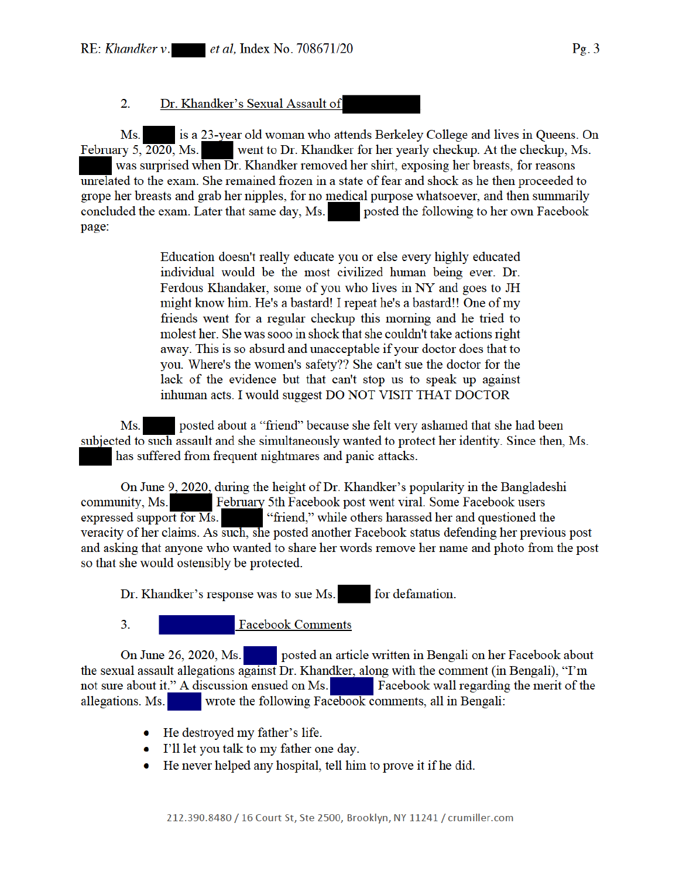2. Dr. Khandker's Sexual Assault of

is a 23-year old woman who attends Berkeley College and lives in Queens. On Ms. went to Dr. Khandker for her yearly checkup. At the checkup, Ms. February  $5, \overline{2020}$ , Ms. was surprised when Dr. Khandker removed her shirt, exposing her breasts, for reasons unrelated to the exam. She remained frozen in a state of fear and shock as he then proceeded to grope her breasts and grab her nipples, for no medical purpose whatsoever, and then summarily concluded the exam. Later that same day, Ms. posted the following to her own Facebook page:

> Education doesn't really educate you or else every highly educated individual would be the most civilized human being ever. Dr. Ferdous Khandaker, some of you who lives in NY and goes to JH might know him. He's a bastard! I repeat he's a bastard!! One of my friends went for a regular checkup this morning and he tried to molest her. She was sooo in shock that she couldn't take actions right away. This is so absurd and unacceptable if your doctor does that to you. Where's the women's safety?? She can't sue the doctor for the lack of the evidence but that can't stop us to speak up against inhuman acts. I would suggest DO NOT VISIT THAT DOCTOR

posted about a "friend" because she felt very ashamed that she had been Ms. subjected to such assault and she simultaneously wanted to protect her identity. Since then, Ms. has suffered from frequent nightmares and panic attacks.

On June 9, 2020, during the height of Dr. Khandker's popularity in the Bangladeshi February 5th Facebook post went viral. Some Facebook users community, Ms. expressed support for  $\overline{Ms}$ . "friend," while others harassed her and questioned the veracity of her claims. As such, she posted another Facebook status defending her previous post and asking that anyone who wanted to share her words remove her name and photo from the post so that she would ostensibly be protected.

Dr. Khandker's response was to sue Ms. for defamation.

 $3<sub>1</sub>$ 

**Facebook Comments** 

posted an article written in Bengali on her Facebook about On June 26, 2020, Ms. the sexual assault allegations against Dr. Khandker, along with the comment (in Bengali), "I'm not sure about it." A discussion ensued on Ms. Facebook wall regarding the merit of the wrote the following Facebook comments, all in Bengali: allegations. Ms.

- He destroyed my father's life.
- I'll let you talk to my father one day.
- He never helped any hospital, tell him to prove it if he did.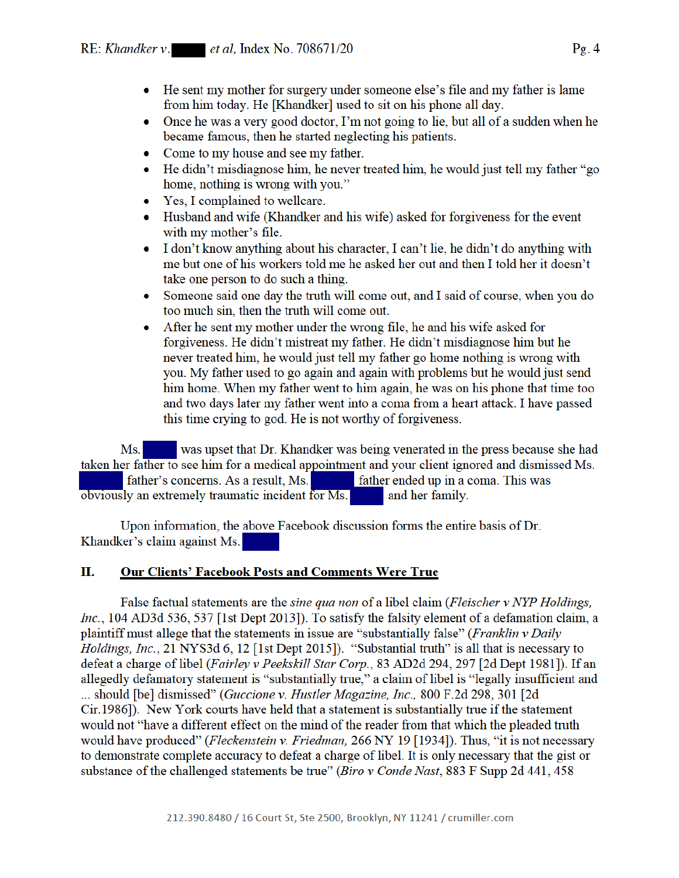- He sent my mother for surgery under someone else's file and my father is lame from him today. He [Khandker] used to sit on his phone all day.
- $\bullet$ Once he was a very good doctor, I'm not going to lie, but all of a sudden when he became famous, then he started neglecting his patients.
- Come to my house and see my father.
- He didn't misdiagnose him, he never treated him, he would just tell my father "go home, nothing is wrong with you."
- Yes, I complained to wellcare.
- Husband and wife (Khandker and his wife) asked for forgiveness for the event  $\bullet$ with my mother's file.
- I don't know anything about his character, I can't lie, he didn't do anything with  $\bullet$ me but one of his workers told me he asked her out and then I told her it doesn't take one person to do such a thing.
- Someone said one day the truth will come out, and I said of course, when you do too much sin, then the truth will come out.
- After he sent my mother under the wrong file, he and his wife asked for  $\bullet$ forgiveness. He didn't mistreat my father. He didn't misdiagnose him but he never treated him, he would just tell my father go home nothing is wrong with you. My father used to go again and again with problems but he would just send him home. When my father went to him again, he was on his phone that time too and two days later my father went into a coma from a heart attack. I have passed this time crying to god. He is not worthy of forgiveness.

 $Ms.$ was upset that Dr. Khandker was being venerated in the press because she had taken her father to see him for a medical appointment and your client ignored and dismissed Ms. father's concerns. As a result, Ms. father ended up in a coma. This was obviously an extremely traumatic incident for Ms. and her family.

Upon information, the above Facebook discussion forms the entire basis of Dr. Khandker's claim against Ms.

### Π. **Our Clients' Facebook Posts and Comments Were True**

False factual statements are the *sine qua non* of a libel claim (*Fleischer v NYP Holdings*, Inc., 104 AD3d 536, 537 [1st Dept 2013]). To satisfy the falsity element of a defamation claim, a plaintiff must allege that the statements in issue are "substantially false" (Franklin v Daily Holdings, Inc., 21 NYS3d 6, 12 [1st Dept 2015]). "Substantial truth" is all that is necessary to defeat a charge of libel (Fairley v Peekskill Star Corp., 83 AD2d 294, 297 [2d Dept 1981]). If an allegedly defamatory statement is "substantially true," a claim of libel is "legally insufficient and ... should [be] dismissed" (Guccione v. Hustler Magazine, Inc., 800 F.2d 298, 301 [2d] Cir.1986]). New York courts have held that a statement is substantially true if the statement would not "have a different effect on the mind of the reader from that which the pleaded truth would have produced" (Fleckenstein v. Friedman, 266 NY 19 [1934]). Thus, "it is not necessary to demonstrate complete accuracy to defeat a charge of libel. It is only necessary that the gist or substance of the challenged statements be true" (Biro v Conde Nast, 883 F Supp 2d 441, 458)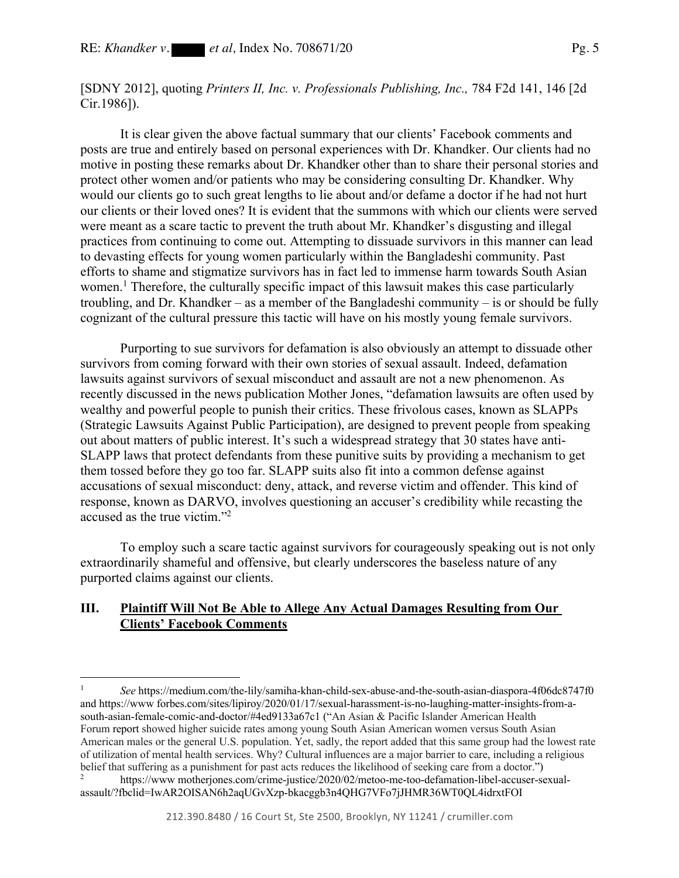[SDNY 2012], quoting *Printers II, Inc. v. Professionals Publishing, Inc.,* 784 F2d 141, 146 [2d Cir.1986]).

 It is clear given the above factual summary that our clients' Facebook comments and posts are true and entirely based on personal experiences with Dr. Khandker. Our clients had no motive in posting these remarks about Dr. Khandker other than to share their personal stories and protect other women and/or patients who may be considering consulting Dr. Khandker. Why would our clients go to such great lengths to lie about and/or defame a doctor if he had not hurt our clients or their loved ones? It is evident that the summons with which our clients were served were meant as a scare tactic to prevent the truth about Mr. Khandker's disgusting and illegal practices from continuing to come out. Attempting to dissuade survivors in this manner can lead to devasting effects for young women particularly within the Bangladeshi community. Past efforts to shame and stigmatize survivors has in fact led to immense harm towards South Asian women.<sup>1</sup> Therefore, the culturally specific impact of this lawsuit makes this case particularly troubling, and Dr. Khandker – as a member of the Bangladeshi community – is or should be fully cognizant of the cultural pressure this tactic will have on his mostly young female survivors.

Purporting to sue survivors for defamation is also obviously an attempt to dissuade other survivors from coming forward with their own stories of sexual assault. Indeed, defamation lawsuits against survivors of sexual misconduct and assault are not a new phenomenon. As recently discussed in the news publication Mother Jones, "defamation lawsuits are often used by wealthy and powerful people to punish their critics. These frivolous cases, known as SLAPPs (Strategic Lawsuits Against Public Participation), are designed to prevent people from speaking out about matters of public interest. It's such a widespread strategy that 30 states have anti-SLAPP laws that protect defendants from these punitive suits by providing a mechanism to get them tossed before they go too far. SLAPP suits also fit into a common defense against accusations of sexual misconduct: deny, attack, and reverse victim and offender. This kind of response, known as DARVO, involves questioning an accuser's credibility while recasting the accused as the true victim."2

To employ such a scare tactic against survivors for courageously speaking out is not only extraordinarily shameful and offensive, but clearly underscores the baseless nature of any purported claims against our clients.

# **III. Plaintiff Will Not Be Able to Allege Any Actual Damages Resulting from Our Clients' Facebook Comments**

<sup>1</sup> *See* https://medium.com/the-lily/samiha-khan-child-sex-abuse-and-the-south-asian-diaspora-4f06dc8747f0 and https://www forbes.com/sites/lipiroy/2020/01/17/sexual-harassment-is-no-laughing-matter-insights-from-asouth-asian-female-comic-and-doctor/#4ed9133a67c1 ("An Asian & Pacific Islander American Health Forum report showed higher suicide rates among young South Asian American women versus South Asian American males or the general U.S. population. Yet, sadly, the report added that this same group had the lowest rate of utilization of mental health services. Why? Cultural influences are a major barrier to care, including a religious belief that suffering as a punishment for past acts reduces the likelihood of seeking care from a doctor.")

<sup>2</sup> https://www motherjones.com/crime-justice/2020/02/metoo-me-too-defamation-libel-accuser-sexualassault/?fbclid=IwAR2OISAN6h2aqUGvXzp-bkacggb3n4QHG7VFo7jJHMR36WT0QL4idrxtFOI